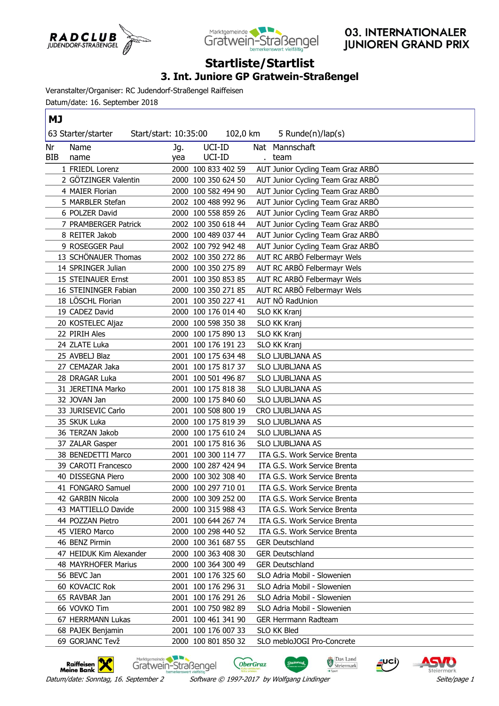



## **Startliste/Startlist**

## **3. Int. Juniore GP Gratwein-Straßengel**

Veranstalter/Organiser: RC Judendorf-Straßengel Raiffeisen

Datum/date: 16. September 2018

| ΜJ  |                           |                       |                     |                                   |
|-----|---------------------------|-----------------------|---------------------|-----------------------------------|
|     | 63 Starter/starter        | Start/start: 10:35:00 | 102,0 km            | 5 Runde(n)/lap(s)                 |
| Nr  | Name                      | Jg.                   | UCI-ID              | Nat Mannschaft                    |
| BIB | name                      | yea                   | UCI-ID              | . team                            |
|     | 1 FRIEDL Lorenz           |                       | 2000 100 833 402 59 | AUT Junior Cycling Team Graz ARBÖ |
|     | 2 GÖTZINGER Valentin      |                       | 2000 100 350 624 50 | AUT Junior Cycling Team Graz ARBO |
|     | 4 MAIER Florian           |                       | 2000 100 582 494 90 | AUT Junior Cycling Team Graz ARBO |
|     | 5 MARBLER Stefan          |                       | 2002 100 488 992 96 | AUT Junior Cycling Team Graz ARBO |
|     | 6 POLZER David            |                       | 2000 100 558 859 26 | AUT Junior Cycling Team Graz ARBO |
|     | 7 PRAMBERGER Patrick      |                       | 2002 100 350 618 44 | AUT Junior Cycling Team Graz ARBÖ |
|     | 8 REITER Jakob            |                       | 2000 100 489 037 44 | AUT Junior Cycling Team Graz ARBO |
|     | 9 ROSEGGER Paul           |                       | 2002 100 792 942 48 | AUT Junior Cycling Team Graz ARBO |
|     | 13 SCHÖNAUER Thomas       |                       | 2002 100 350 272 86 | AUT RC ARBÖ Felbermayr Wels       |
|     | 14 SPRINGER Julian        |                       | 2000 100 350 275 89 | AUT RC ARBÖ Felbermayr Wels       |
|     | <b>15 STEINAUER Ernst</b> |                       | 2001 100 350 853 85 | AUT RC ARBÖ Felbermayr Wels       |
|     | 16 STEININGER Fabian      |                       | 2000 100 350 271 85 | AUT RC ARBÖ Felbermayr Wels       |
|     | 18 LÖSCHL Florian         |                       | 2001 100 350 227 41 | AUT NÖ RadUnion                   |
|     | 19 CADEZ David            |                       | 2000 100 176 014 40 | <b>SLO KK Kranj</b>               |
|     | 20 KOSTELEC Aljaz         |                       | 2000 100 598 350 38 | SLO KK Kranj                      |
|     | 22 PIRIH Ales             |                       | 2000 100 175 890 13 | SLO KK Kranj                      |
|     | 24 ZLATE Luka             |                       | 2001 100 176 191 23 | SLO KK Kranj                      |
|     | 25 AVBELJ Blaz            |                       | 2001 100 175 634 48 | SLO LJUBLJANA AS                  |
|     | 27 CEMAZAR Jaka           |                       | 2001 100 175 817 37 | SLO LJUBLJANA AS                  |
|     | 28 DRAGAR Luka            |                       | 2001 100 501 496 87 | SLO LJUBLJANA AS                  |
|     | 31 JERETINA Marko         |                       | 2001 100 175 818 38 | SLO LJUBLJANA AS                  |
|     | 32 JOVAN Jan              |                       | 2000 100 175 840 60 | SLO LJUBLJANA AS                  |
|     | 33 JURISEVIC Carlo        |                       | 2001 100 508 800 19 | CRO LJUBLJANA AS                  |
|     | 35 SKUK Luka              |                       | 2000 100 175 819 39 | SLO LJUBLJANA AS                  |
|     | 36 TERZAN Jakob           |                       | 2000 100 175 610 24 | SLO LJUBLJANA AS                  |
|     | 37 ZALAR Gasper           |                       | 2001 100 175 816 36 | SLO LJUBLJANA AS                  |
|     | 38 BENEDETTI Marco        |                       | 2001 100 300 114 77 | ITA G.S. Work Service Brenta      |
|     | 39 CAROTI Francesco       |                       | 2000 100 287 424 94 | ITA G.S. Work Service Brenta      |
|     | 40 DISSEGNA Piero         |                       | 2000 100 302 308 40 | ITA G.S. Work Service Brenta      |
|     | 41 FONGARO Samuel         |                       | 2000 100 297 710 01 | ITA G.S. Work Service Brenta      |
|     | 42 GARBIN Nicola          |                       | 2000 100 309 252 00 | ITA G.S. Work Service Brenta      |
|     | 43 MATTIELLO Davide       |                       | 2000 100 315 988 43 | ITA G.S. Work Service Brenta      |
|     | 44 POZZAN Pietro          |                       | 2001 100 644 267 74 | ITA G.S. Work Service Brenta      |
|     | 45 VIERO Marco            |                       | 2000 100 298 440 52 | ITA G.S. Work Service Brenta      |
|     | 46 BENZ Pirmin            |                       | 2000 100 361 687 55 | <b>GER Deutschland</b>            |
|     | 47 HEIDUK Kim Alexander   |                       | 2000 100 363 408 30 | <b>GER Deutschland</b>            |
|     | 48 MAYRHOFER Marius       |                       | 2000 100 364 300 49 | <b>GER Deutschland</b>            |
|     | 56 BEVC Jan               |                       | 2001 100 176 325 60 | SLO Adria Mobil - Slowenien       |
|     | 60 KOVACIC Rok            |                       | 2001 100 176 296 31 | SLO Adria Mobil - Slowenien       |
|     | 65 RAVBAR Jan             |                       | 2001 100 176 291 26 | SLO Adria Mobil - Slowenien       |
|     | 66 VOVKO Tim              |                       | 2001 100 750 982 89 | SLO Adria Mobil - Slowenien       |
|     | 67 HERRMANN Lukas         |                       | 2001 100 461 341 90 | <b>GER Herrmann Radteam</b>       |
|     | 68 PAJEK Benjamin         |                       | 2001 100 176 007 33 | SLO KK Bled                       |
|     | 69 GORJANC Tevž           |                       | 2000 100 801 850 32 | SLO mebloJOGI Pro-Concrete        |

Raiffeisen X

Marktgemeinde